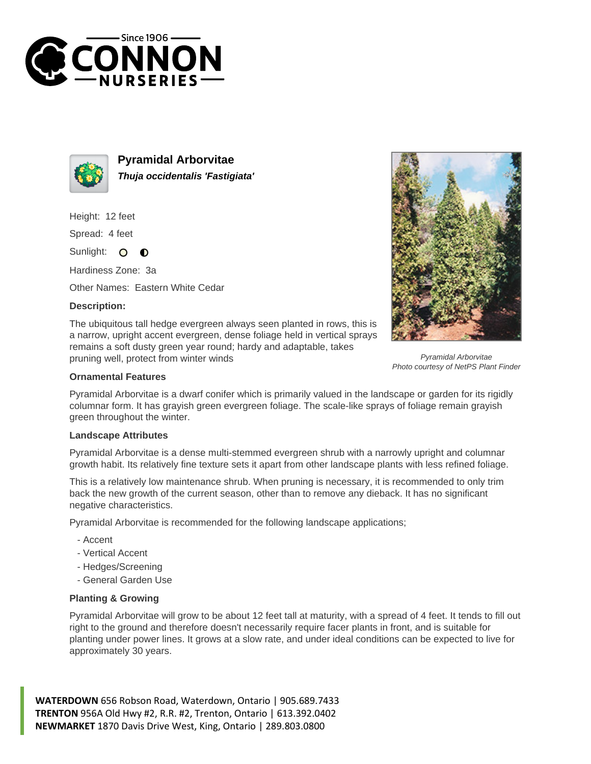



**Pyramidal Arborvitae Thuja occidentalis 'Fastigiata'**

Height: 12 feet

Spread: 4 feet

Sunlight: O  $\bullet$ 

Hardiness Zone: 3a

Other Names: Eastern White Cedar

## **Description:**

The ubiquitous tall hedge evergreen always seen planted in rows, this is a narrow, upright accent evergreen, dense foliage held in vertical sprays remains a soft dusty green year round; hardy and adaptable, takes pruning well, protect from winter winds



Pyramidal Arborvitae Photo courtesy of NetPS Plant Finder

## **Ornamental Features**

Pyramidal Arborvitae is a dwarf conifer which is primarily valued in the landscape or garden for its rigidly columnar form. It has grayish green evergreen foliage. The scale-like sprays of foliage remain grayish green throughout the winter.

## **Landscape Attributes**

Pyramidal Arborvitae is a dense multi-stemmed evergreen shrub with a narrowly upright and columnar growth habit. Its relatively fine texture sets it apart from other landscape plants with less refined foliage.

This is a relatively low maintenance shrub. When pruning is necessary, it is recommended to only trim back the new growth of the current season, other than to remove any dieback. It has no significant negative characteristics.

Pyramidal Arborvitae is recommended for the following landscape applications;

- Accent
- Vertical Accent
- Hedges/Screening
- General Garden Use

## **Planting & Growing**

Pyramidal Arborvitae will grow to be about 12 feet tall at maturity, with a spread of 4 feet. It tends to fill out right to the ground and therefore doesn't necessarily require facer plants in front, and is suitable for planting under power lines. It grows at a slow rate, and under ideal conditions can be expected to live for approximately 30 years.

**WATERDOWN** 656 Robson Road, Waterdown, Ontario | 905.689.7433 **TRENTON** 956A Old Hwy #2, R.R. #2, Trenton, Ontario | 613.392.0402 **NEWMARKET** 1870 Davis Drive West, King, Ontario | 289.803.0800